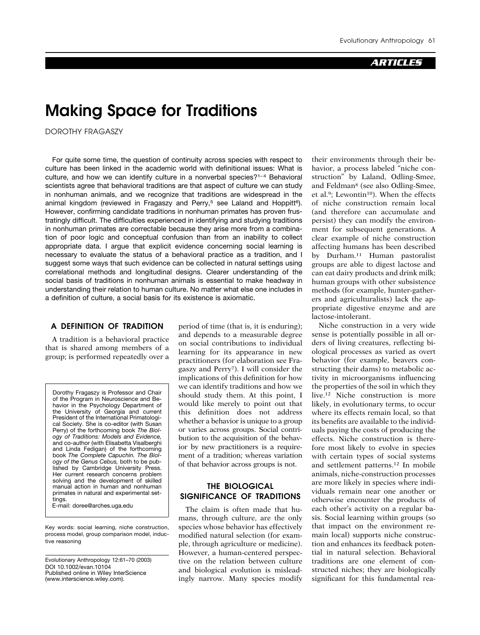## *ARTICLES*

# **Making Space for Traditions**

DOROTHY FRAGASZY

For quite some time, the question of continuity across species with respect to culture has been linked in the academic world with definitional issues: What is culture, and how we can identify culture in a nonverbal species?1–4 Behavioral scientists agree that behavioral traditions are that aspect of culture we can study in nonhuman animals, and we recognize that traditions are widespread in the animal kingdom (reviewed in Fragaszy and Perry,<sup>5</sup> see Laland and Hoppitt<sup>6</sup>). However, confirming candidate traditions in nonhuman primates has proven frustratingly difficult. The difficulties experienced in identifying and studying traditions in nonhuman primates are correctable because they arise more from a combination of poor logic and conceptual confusion than from an inability to collect appropriate data. I argue that explicit evidence concerning social learning is necessary to evaluate the status of a behavioral practice as a tradition, and I suggest some ways that such evidence can be collected in natural settings using correlational methods and longitudinal designs. Clearer understanding of the social basis of traditions in nonhuman animals is essential to make headway in understanding their relation to human culture. No matter what else one includes in a definition of culture, a social basis for its existence is axiomatic.

## **A DEFINITION OF TRADITION**

A tradition is a behavioral practice that is shared among members of a group; is performed repeatedly over a

Dorothy Fragaszy is Professor and Chair of the Program in Neuroscience and Behavior in the Psychology Department of the University of Georgia and current President of the International Primatological Society. She is co-editor (with Susan Perry) of the forthcoming book *The Biology of Traditions: Models and Evidence,* and co-author (with Elisabetta Visalberghi and Linda Fedigan) of the forthcoming book *The Complete Capuchin. The Biology of the Genus Cebus,* both to be published by Cambridge University Press. Her current research concerns problem solving and the development of skilled manual action in human and nonhuman primates in natural and experimental settings.

E-mail: doree@arches.uga.edu

Key words: social learning, niche construction, process model, group comparison model, inductive reasoning

Evolutionary Anthropology 12:61–70 (2003) DOI 10.1002/evan.10104 Published online in Wiley InterScience (www.interscience.wiley.com).

period of time (that is, it is enduring); and depends to a measurable degree on social contributions to individual learning for its appearance in new practitioners (for elaboration see Fragaszy and Perry7). I will consider the implications of this definition for how we can identify traditions and how we should study them. At this point, I would like merely to point out that this definition does not address whether a behavior is unique to a group or varies across groups. Social contribution to the acquisition of the behavior by new practitioners is a requirement of a tradition; whereas variation of that behavior across groups is not.

## **THE BIOLOGICAL SIGNIFICANCE OF TRADITIONS**

The claim is often made that humans, through culture, are the only species whose behavior has effectively modified natural selection (for example, through agriculture or medicine). However, a human-centered perspective on the relation between culture and biological evolution is misleadingly narrow. Many species modify

their environments through their behavior, a process labeled "niche construction" by Laland, Odling-Smee, and Feldman8 (see also Odling-Smee, et al.<sup>9</sup>; Lewontin<sup>10</sup>). When the effects of niche construction remain local (and therefore can accumulate and persist) they can modify the environment for subsequent generations. A clear example of niche construction affecting humans has been described by Durham.11 Human pastoralist groups are able to digest lactose and can eat dairy products and drink milk; human groups with other subsistence methods (for example, hunter-gatherers and agriculturalists) lack the appropriate digestive enzyme and are lactose-intolerant.

Niche construction in a very wide sense is potentially possible in all orders of living creatures, reflecting biological processes as varied as overt behavior (for example, beavers constructing their dams) to metabolic activity in microorganisms influencing the properties of the soil in which they live.12 Niche construction is more likely, in evolutionary terms, to occur where its effects remain local, so that its benefits are available to the individuals paying the costs of producing the effects. Niche construction is therefore most likely to evolve in species with certain types of social systems and settlement patterns.12 In mobile animals, niche-construction processes are more likely in species where individuals remain near one another or otherwise encounter the products of each other's activity on a regular basis. Social learning within groups (so that impact on the environment remain local) supports niche construction and enhances its feedback potential in natural selection. Behavioral traditions are one element of constructed niches; they are biologically significant for this fundamental rea-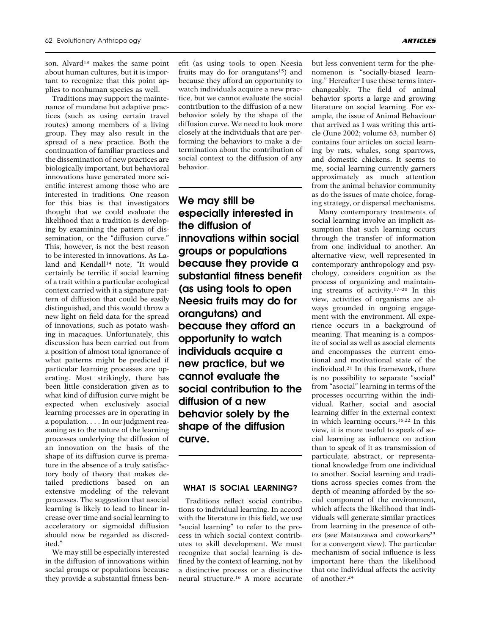son. Alvard<sup>13</sup> makes the same point about human cultures, but it is important to recognize that this point applies to nonhuman species as well.

Traditions may support the maintenance of mundane but adaptive practices (such as using certain travel routes) among members of a living group. They may also result in the spread of a new practice. Both the continuation of familiar practices and the dissemination of new practices are biologically important, but behavioral innovations have generated more scientific interest among those who are interested in traditions. One reason for this bias is that investigators thought that we could evaluate the likelihood that a tradition is developing by examining the pattern of dissemination, or the "diffusion curve." This, however, is not the best reason to be interested in innovations. As Laland and Kendall<sup>14</sup> note, "It would certainly be terrific if social learning of a trait within a particular ecological context carried with it a signature pattern of diffusion that could be easily distinguished, and this would throw a new light on field data for the spread of innovations, such as potato washing in macaques. Unfortunately, this discussion has been carried out from a position of almost total ignorance of what patterns might be predicted if particular learning processes are operating. Most strikingly, there has been little consideration given as to what kind of diffusion curve might be expected when exclusively asocial learning processes are in operating in a population. . . . In our judgment reasoning as to the nature of the learning processes underlying the diffusion of an innovation on the basis of the shape of its diffusion curve is premature in the absence of a truly satisfactory body of theory that makes detailed predictions based on an extensive modeling of the relevant processes. The suggestion that asocial learning is likely to lead to linear increase over time and social learning to acceleratory or sigmoidal diffusion should now be regarded as discredited."

We may still be especially interested in the diffusion of innovations within social groups or populations because they provide a substantial fitness benefit (as using tools to open Neesia fruits may do for orangutans<sup>15</sup>) and because they afford an opportunity to watch individuals acquire a new practice, but we cannot evaluate the social contribution to the diffusion of a new behavior solely by the shape of the diffusion curve. We need to look more closely at the individuals that are performing the behaviors to make a determination about the contribution of social context to the diffusion of any behavior.

**We may still be especially interested in the diffusion of innovations within social groups or populations because they provide a substantial fitness benefit (as using tools to open Neesia fruits may do for orangutans) and because they afford an opportunity to watch individuals acquire a new practice, but we cannot evaluate the social contribution to the diffusion of a new behavior solely by the shape of the diffusion curve.**

## **WHAT IS SOCIAL LEARNING?**

Traditions reflect social contributions to individual learning. In accord with the literature in this field, we use "social learning" to refer to the process in which social context contributes to skill development. We must recognize that social learning is defined by the context of learning, not by a distinctive process or a distinctive neural structure.16 A more accurate but less convenient term for the phenomenon is "socially-biased learning." Hereafter I use these terms interchangeably. The field of animal behavior sports a large and growing literature on social learning. For example, the issue of Animal Behaviour that arrived as I was writing this article (June 2002; volume 63, number 6) contains four articles on social learning by rats, whales, song sparrows, and domestic chickens. It seems to me, social learning currently garners approximately as much attention from the animal behavior community as do the issues of mate choice, foraging strategy, or dispersal mechanisms.

Many contemporary treatments of social learning involve an implicit assumption that such learning occurs through the transfer of information from one individual to another. An alternative view, well represented in contemporary anthropology and psychology, considers cognition as the process of organizing and maintaining streams of activity.17–20 In this view, activities of organisms are always grounded in ongoing engagement with the environment. All experience occurs in a background of meaning. That meaning is a composite of social as well as asocial elements and encompasses the current emotional and motivational state of the individual.21 In this framework, there is no possibility to separate "social" from "asocial" learning in terms of the processes occurring within the individual. Rather, social and asocial learning differ in the external context in which learning occurs.16,22 In this view, it is more useful to speak of social learning as influence on action than to speak of it as transmission of particulate, abstract, or representational knowledge from one individual to another. Social learning and traditions across species comes from the depth of meaning afforded by the social component of the environment, which affects the likelihood that individuals will generate similar practices from learning in the presence of others (see Matsuzawa and coworkers<sup>23</sup> for a convergent view). The particular mechanism of social influence is less important here than the likelihood that one individual affects the activity of another.24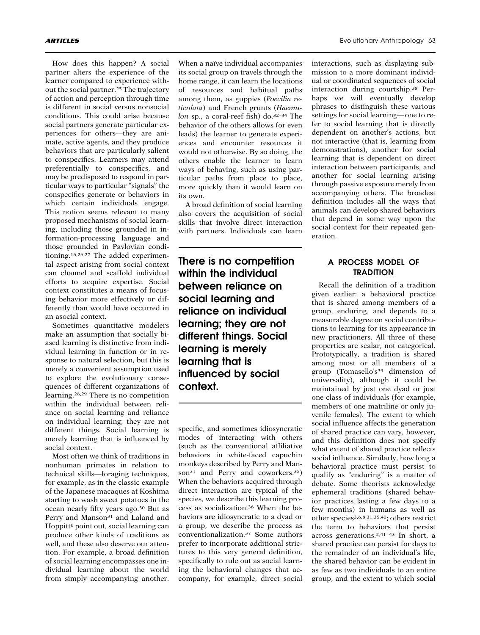How does this happen? A social partner alters the experience of the learner compared to experience without the social partner.25 The trajectory of action and perception through time is different in social versus nonsocial conditions. This could arise because social partners generate particular experiences for others—they are animate, active agents, and they produce behaviors that are particularly salient to conspecifics. Learners may attend preferentially to conspecifics, and may be predisposed to respond in particular ways to particular "signals" the conspecifics generate or behaviors in which certain individuals engage. This notion seems relevant to many proposed mechanisms of social learning, including those grounded in information-processing language and those grounded in Pavlovian conditioning.16,26,27 The added experimental aspect arising from social context can channel and scaffold individual efforts to acquire expertise. Social context constitutes a means of focusing behavior more effectively or differently than would have occurred in an asocial context.

Sometimes quantitative modelers make an assumption that socially biased learning is distinctive from individual learning in function or in response to natural selection, but this is merely a convenient assumption used to explore the evolutionary consequences of different organizations of learning.28,29 There is no competition within the individual between reliance on social learning and reliance on individual learning; they are not different things. Social learning is merely learning that is influenced by social context.

Most often we think of traditions in nonhuman primates in relation to technical skills—foraging techniques, for example, as in the classic example of the Japanese macaques at Koshima starting to wash sweet potatoes in the ocean nearly fifty years ago.30 But as Perry and Manson<sup>31</sup> and Laland and Hoppitt<sup>6</sup> point out, social learning can produce other kinds of traditions as well, and these also deserve our attention. For example, a broad definition of social learning encompasses one individual learning about the world from simply accompanying another.

When a naïve individual accompanies its social group on travels through the home range, it can learn the locations of resources and habitual paths among them, as guppies (*Poecilia reticulata*) and French grunts (*Haemulon* sp., a coral-reef fish) do.32–34 The behavior of the others allows (or even leads) the learner to generate experiences and encounter resources it would not otherwise. By so doing, the others enable the learner to learn ways of behaving, such as using particular paths from place to place, more quickly than it would learn on its own.

A broad definition of social learning also covers the acquisition of social skills that involve direct interaction with partners. Individuals can learn

**There is no competition within the individual between reliance on social learning and reliance on individual learning; they are not different things. Social learning is merely learning that is influenced by social context.**

specific, and sometimes idiosyncratic modes of interacting with others (such as the conventional affiliative behaviors in white-faced capuchin monkeys described by Perry and Manson<sup>31</sup> and Perry and coworkers.<sup>35</sup>) When the behaviors acquired through direct interaction are typical of the species, we describe this learning process as socialization.36 When the behaviors are idiosyncratic to a dyad or a group, we describe the process as conventionalization.37 Some authors prefer to incorporate additional strictures to this very general definition, specifically to rule out as social learning the behavioral changes that accompany, for example, direct social interactions, such as displaying submission to a more dominant individual or coordinated sequences of social interaction during courtship.38 Perhaps we will eventually develop phrases to distinguish these various settings for social learning—one to refer to social learning that is directly dependent on another's actions, but not interactive (that is, learning from demonstrations), another for social learning that is dependent on direct interaction between participants, and another for social learning arising through passive exposure merely from accompanying others. The broadest definition includes all the ways that animals can develop shared behaviors that depend in some way upon the social context for their repeated generation.

## **A PROCESS MODEL OF TRADITION**

Recall the definition of a tradition given earlier: a behavioral practice that is shared among members of a group, enduring, and depends to a measurable degree on social contributions to learning for its appearance in new practitioners. All three of these properties are scalar, not categorical. Prototypically, a tradition is shared among most or all members of a group (Tomasello's39 dimension of universality), although it could be maintained by just one dyad or just one class of individuals (for example, members of one matriline or only juvenile females). The extent to which social influence affects the generation of shared practice can vary, however, and this definition does not specify what extent of shared practice reflects social influence. Similarly, how long a behavioral practice must persist to qualify as "enduring" is a matter of debate. Some theorists acknowledge ephemeral traditions (shared behavior practices lasting a few days to a few months) in humans as well as other species3,6,8,31,35,40; others restrict the term to behaviors that persist across generations.2,41–43 In short, a shared practice can persist for days to the remainder of an individual's life, the shared behavior can be evident in as few as two individuals to an entire group, and the extent to which social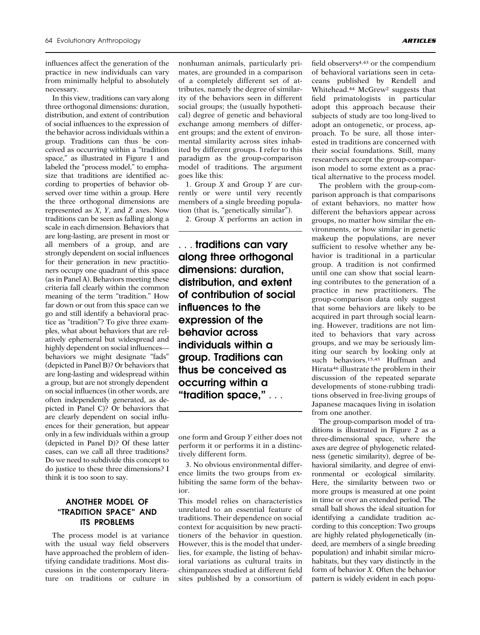influences affect the generation of the practice in new individuals can vary from minimally helpful to absolutely necessary.

In this view, traditions can vary along three orthogonal dimensions: duration, distribution, and extent of contribution of social influences to the expression of the behavior across individuals within a group. Traditions can thus be conceived as occurring within a "tradition space," as illustrated in Figure 1 and labeled the "process model," to emphasize that traditions are identified according to properties of behavior observed over time within a group. Here the three orthogonal dimensions are represented as *X*, *Y*, and *Z* axes. Now traditions can be seen as falling along a scale in each dimension. Behaviors that are long-lasting, are present in most or all members of a group, and are strongly dependent on social influences for their generation in new practitioners occupy one quadrant of this space (as in Panel A). Behaviors meeting these criteria fall clearly within the common meaning of the term "tradition." How far down or out from this space can we go and still identify a behavioral practice as "tradition"? To give three examples, what about behaviors that are relatively ephemeral but widespread and highly dependent on social influences behaviors we might designate "fads" (depicted in Panel B)? Or behaviors that are long-lasting and widespread within a group, but are not strongly dependent on social influences (in other words, are often independently generated, as depicted in Panel C)? Or behaviors that are clearly dependent on social influences for their generation, but appear only in a few individuals within a group (depicted in Panel D)? Of these latter cases, can we call all three traditions? Do we need to subdivide this concept to do justice to these three dimensions? I think it is too soon to say.

## **ANOTHER MODEL OF "TRADITION SPACE" AND ITS PROBLEMS**

The process model is at variance with the usual way field observers have approached the problem of identifying candidate traditions. Most discussions in the contemporary literature on traditions or culture in nonhuman animals, particularly primates, are grounded in a comparison of a completely different set of attributes, namely the degree of similarity of the behaviors seen in different social groups; the (usually hypothetical) degree of genetic and behavioral exchange among members of different groups; and the extent of environmental similarity across sites inhabited by different groups. I refer to this paradigm as the group-comparison model of traditions. The argument goes like this:

1. Group *X* and Group *Y* are currently or were until very recently members of a single breeding population (that is, "genetically similar").

2. Group *X* performs an action in

... **traditions can vary along three orthogonal dimensions: duration, distribution, and extent of contribution of social influences to the expression of the behavior across individuals within a group. Traditions can thus be conceived as occurring within a "tradition space,"** ...

one form and Group *Y* either does not perform it or performs it in a distinctively different form.

3. No obvious environmental difference limits the two groups from exhibiting the same form of the behavior.

This model relies on characteristics unrelated to an essential feature of traditions. Their dependence on social context for acquisition by new practitioners of the behavior in question. However, this is the model that underlies, for example, the listing of behavioral variations as cultural traits in chimpanzees studied at different field sites published by a consortium of field observers4,43 or the compendium of behavioral variations seen in cetaceans published by Rendell and Whitehead.44 McGrew2 suggests that field primatologists in particular adopt this approach because their subjects of study are too long-lived to adopt an ontogenetic, or process, approach. To be sure, all those interested in traditions are concerned with their social foundations. Still, many researchers accept the group-comparison model to some extent as a practical alternative to the process model.

The problem with the group-comparison approach is that comparisons of extant behaviors, no matter how different the behaviors appear across groups, no matter how similar the environments, or how similar in genetic makeup the populations, are never sufficient to resolve whether any behavior is traditional in a particular group. A tradition is not confirmed until one can show that social learning contributes to the generation of a practice in new practitioners. The group-comparison data only suggest that some behaviors are likely to be acquired in part through social learning. However, traditions are not limited to behaviors that vary across groups, and we may be seriously limiting our search by looking only at such behaviors.15,45 Huffman and Hirata<sup>46</sup> illustrate the problem in their discussion of the repeated separate developments of stone-rubbing traditions observed in free-living groups of Japanese macaques living in isolation from one another.

The group-comparison model of traditions is illustrated in Figure 2 as a three-dimensional space, where the axes are degree of phylogenetic relatedness (genetic similarity), degree of behavioral similarity, and degree of environmental or ecological similarity. Here, the similarity between two or more groups is measured at one point in time or over an extended period. The small ball shows the ideal situation for identifying a candidate tradition according to this conception: Two groups are highly related phylogenetically (indeed, are members of a single breeding population) and inhabit similar microhabitats, but they vary distinctly in the form of behavior *X*. Often the behavior pattern is widely evident in each popu-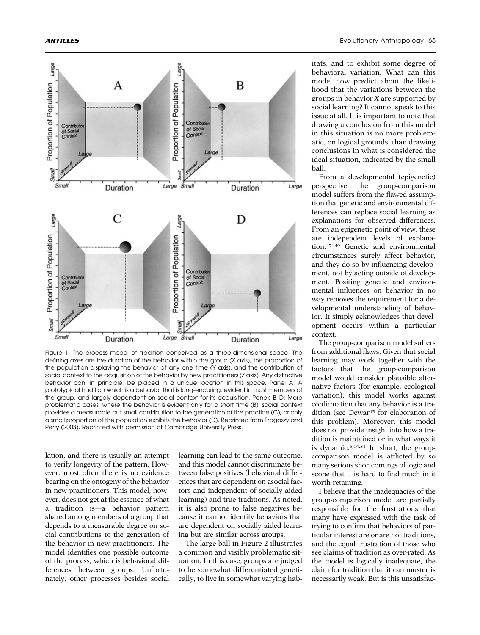

Figure 1. The process model of tradition conceived as a three-dimensional space. The defining axes are the duration of the behavior within the group (X axis), the proportion of the population displaying the behavior at any one time (Y axis), and the contribution of social context to the acquisition of the behavior by new practitioners (Z axis). Any distinctive behavior can, in principle, be placed in a unique location in this space. Panel A: A prototypical tradition which is a behavior that is long-enduring, evident in most members of the group, and largely dependent on social context for its acquisition. Panels B–D: More problematic cases, where the behavior is evident only for a short time (B), social context provides a measurable but small contribution to the generation of the practice (C), or only a small proportion of the population exhibits the behavior (D). Reprinted from Fragaszy and Perry (2003). Reprinted with permission of Cambridge University Press.

lation, and there is usually an attempt to verify longevity of the pattern. However, most often there is no evidence bearing on the ontogeny of the behavior in new practitioners. This model, however, does not get at the essence of what a tradition is—a behavior pattern shared among members of a group that depends to a measurable degree on social contributions to the generation of the behavior in new practitioners. The model identifies one possible outcome of the process, which is behavioral differences between groups. Unfortunately, other processes besides social learning can lead to the same outcome, and this model cannot discriminate between false positives (behavioral differences that are dependent on asocial factors and independent of socially aided learning) and true traditions. As noted, it is also prone to false negatives because it cannot identify behaviors that are dependent on socially aided learning but are similar across groups.

The large ball in Figure 2 illustrates a common and visibly problematic situation. In this case, groups are judged to be somewhat differentiated genetically, to live in somewhat varying habitats, and to exhibit some degree of behavioral variation. What can this model now predict about the likelihood that the variations between the groups in behavior *X* are supported by social learning? It cannot speak to this issue at all. It is important to note that drawing a conclusion from this model in this situation is no more problematic, on logical grounds, than drawing conclusions in what is considered the ideal situation, indicated by the small ball.

From a developmental (epigenetic) perspective, the group-comparison model suffers from the flawed assumption that genetic and environmental differences can replace social learning as explanations for observed differences. From an epigenetic point of view, these are independent levels of explanation.47–49 Genetic and environmental circumstances surely affect behavior, and they do so by influencing development, not by acting outside of development. Positing genetic and environmental influences on behavior in no way removes the requirement for a developmental understanding of behavior. It simply acknowledges that development occurs within a particular context.

The group-comparison model suffers from additional flaws. Given that social learning may work together with the factors that the group-comparison model would consider plausible alternative factors (for example, ecological variation), this model works against confirmation that any behavior is a tradition (see Dewar<sup>45</sup> for elaboration of this problem). Moreover, this model does not provide insight into how a tradition is maintained or in what ways it is dynamic.6,14,31 In short, the groupcomparison model is afflicted by so many serious shortcomings of logic and scope that it is hard to find much in it worth retaining.

I believe that the inadequacies of the group-comparison model are partially responsible for the frustrations that many have expressed with the task of trying to confirm that behaviors of particular interest are or are not traditions, and the equal frustration of those who see claims of tradition as over-rated. As the model is logically inadequate, the claim for tradition that it can muster is necessarily weak. But is this unsatisfac-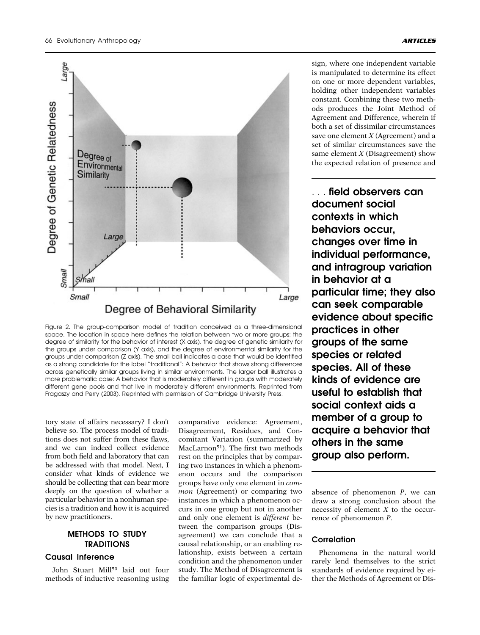

Figure 2. The group-comparison model of tradition conceived as a three-dimensional space. The location in space here defines the relation between two or more groups: the degree of similarity for the behavior of interest (X axis), the degree of genetic similarity for the groups under comparison (Y axis), and the degree of environmental similarity for the groups under comparison (Z axis). The small ball indicates a case that would be identified as a strong candidate for the label "traditional": A behavior that shows strong differences across genetically similar groups living in similar environments. The larger ball illustrates a more problematic case: A behavior that is moderately different in groups with moderately different gene pools and that live in moderately different environments. Reprinted from Fragaszy and Perry (2003). Reprinted with permission of Cambridge University Press.

tory state of affairs necessary? I don't believe so. The process model of traditions does not suffer from these flaws, and we can indeed collect evidence from both field and laboratory that can be addressed with that model. Next, I consider what kinds of evidence we should be collecting that can bear more deeply on the question of whether a particular behavior in a nonhuman species is a tradition and how it is acquired by new practitioners.

## **METHODS TO STUDY TRADITIONS**

## **Causal Inference**

John Stuart Mill50 laid out four methods of inductive reasoning using comparative evidence: Agreement, Disagreement, Residues, and Concomitant Variation (summarized by MacLarnon<sup>51</sup>). The first two methods rest on the principles that by comparing two instances in which a phenomenon occurs and the comparison groups have only one element in *common* (Agreement) or comparing two instances in which a phenomenon occurs in one group but not in another and only one element is *different* between the comparison groups (Disagreement) we can conclude that a causal relationship, or an enabling relationship, exists between a certain condition and the phenomenon under study. The Method of Disagreement is the familiar logic of experimental design, where one independent variable is manipulated to determine its effect on one or more dependent variables, holding other independent variables constant. Combining these two methods produces the Joint Method of Agreement and Difference, wherein if both a set of dissimilar circumstances save one element *X* (Agreement) and a set of similar circumstances save the same element *X* (Disagreement) show the expected relation of presence and

... **field observers can document social contexts in which behaviors occur, changes over time in individual performance, and intragroup variation in behavior at a particular time; they also can seek comparable evidence about specific practices in other groups of the same species or related species. All of these kinds of evidence are useful to establish that social context aids a member of a group to acquire a behavior that others in the same group also perform.**

absence of phenomenon *P*, we can draw a strong conclusion about the necessity of element *X* to the occurrence of phenomenon *P*.

#### **Correlation**

Phenomena in the natural world rarely lend themselves to the strict standards of evidence required by either the Methods of Agreement or Dis-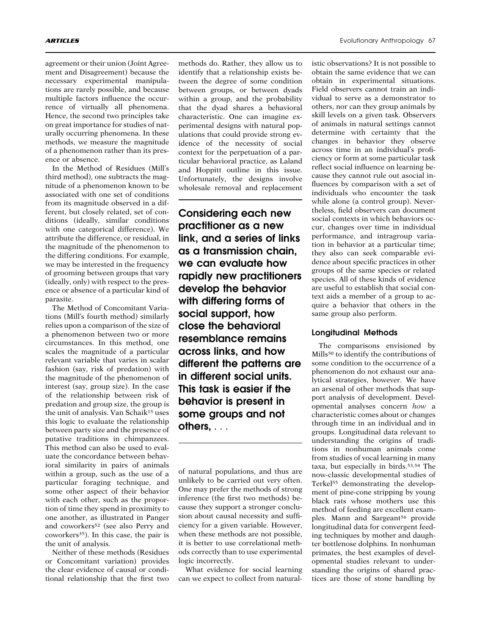agreement or their union (Joint Agreement and Disagreement) because the necessary experimental manipulations are rarely possible, and because multiple factors influence the occurrence of virtually all phenomena. Hence, the second two principles take on great importance for studies of naturally occurring phenomena. In these methods, we measure the magnitude of a phenomenon rather than its presence or absence.

In the Method of Residues (Mill's third method), one subtracts the magnitude of a phenomenon known to be associated with one set of conditions from its magnitude observed in a different, but closely related, set of conditions (ideally, similar conditions with one categorical difference). We attribute the difference, or residual, in the magnitude of the phenomenon to the differing conditions. For example, we may be interested in the frequency of grooming between groups that vary (ideally, only) with respect to the presence or absence of a particular kind of parasite.

The Method of Concomitant Variations (Mill's fourth method) similarly relies upon a comparison of the size of a phenomenon between two or more circumstances. In this method, one scales the magnitude of a particular relevant variable that varies in scalar fashion (say, risk of predation) with the magnitude of the phenomenon of interest (say, group size). In the case of the relationship between risk of predation and group size, the group is the unit of analysis. Van Schaik<sup>15</sup> uses this logic to evaluate the relationship between party size and the presence of putative traditions in chimpanzees. This method can also be used to evaluate the concordance between behavioral similarity in pairs of animals within a group, such as the use of a particular foraging technique, and some other aspect of their behavior with each other, such as the proportion of time they spend in proximity to one another, as illustrated in Panger and coworkers52 (see also Perry and coworkers35). In this case, the pair is the unit of analysis.

Neither of these methods (Residues or Concomitant variation) provides the clear evidence of causal or conditional relationship that the first two

methods do. Rather, they allow us to identify that a relationship exists between the degree of some condition between groups, or between dyads within a group, and the probability that the dyad shares a behavioral characteristic. One can imagine experimental designs with natural populations that could provide strong evidence of the necessity of social context for the perpetuation of a particular behavioral practice, as Laland and Hoppitt outline in this issue. Unfortunately, the designs involve wholesale removal and replacement

**Considering each new practitioner as a new link, and a series of links as a transmission chain, we can evaluate how rapidly new practitioners develop the behavior with differing forms of social support, how close the behavioral resemblance remains across links, and how different the patterns are in different social units. This task is easier if the behavior is present in some groups and not others,** ...

of natural populations, and thus are unlikely to be carried out very often. One may prefer the methods of strong inference (the first two methods) because they support a stronger conclusion about causal necessity and sufficiency for a given variable. However, when these methods are not possible, it is better to use correlational methods correctly than to use experimental logic incorrectly.

What evidence for social learning can we expect to collect from naturalistic observations? It is not possible to obtain the same evidence that we can obtain in experimental situations. Field observers cannot train an individual to serve as a demonstrator to others, nor can they group animals by skill levels on a given task. Observers of animals in natural settings cannot determine with certainty that the changes in behavior they observe across time in an individual's proficiency or form at some particular task reflect social influence on learning because they cannot rule out asocial influences by comparison with a set of individuals who encounter the task while alone (a control group). Nevertheless, field observers can document social contexts in which behaviors occur, changes over time in individual performance, and intragroup variation in behavior at a particular time; they also can seek comparable evidence about specific practices in other groups of the same species or related species. All of these kinds of evidence are useful to establish that social context aids a member of a group to acquire a behavior that others in the same group also perform.

#### **Longitudinal Methods**

The comparisons envisioned by Mills<sup>50</sup> to identify the contributions of some condition to the occurrence of a phenomenon do not exhaust our analytical strategies, however. We have an arsenal of other methods that support analysis of development. Developmental analyses concern *how* a characteristic comes about or changes through time in an individual and in groups. Longitudinal data relevant to understanding the origins of traditions in nonhuman animals come from studies of vocal learning in many taxa, but especially in birds.53,54 The now-classic developmental studies of Terkel<sup>55</sup> demonstrating the development of pine-cone stripping by young black rats whose mothers use this method of feeding are excellent examples. Mann and Sargeant<sup>56</sup> provide longitudinal data for convergent feeding techniques by mother and daughter bottlenose dolphins. In nonhuman primates, the best examples of developmental studies relevant to understanding the origins of shared practices are those of stone handling by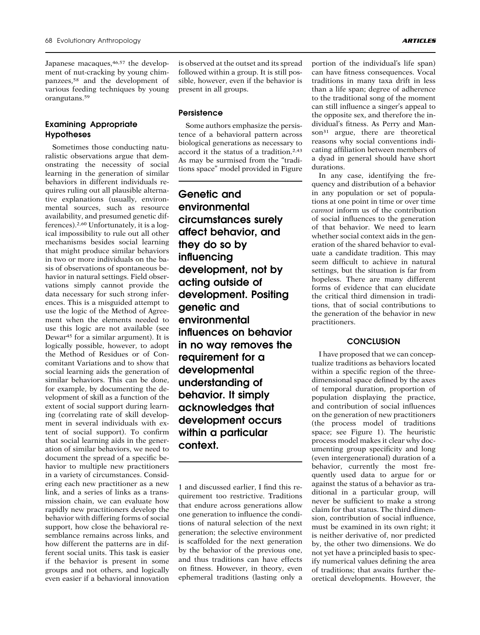Japanese macaques,46,57 the development of nut-cracking by young chimpanzees,58 and the development of various feeding techniques by young orangutans.59

## **Examining Appropriate Hypotheses**

Sometimes those conducting naturalistic observations argue that demonstrating the necessity of social learning in the generation of similar behaviors in different individuals requires ruling out all plausible alternative explanations (usually, environmental sources, such as resource availability, and presumed genetic differences).2,60 Unfortunately, it is a logical impossibility to rule out all other mechanisms besides social learning that might produce similar behaviors in two or more individuals on the basis of observations of spontaneous behavior in natural settings. Field observations simply cannot provide the data necessary for such strong inferences. This is a misguided attempt to use the logic of the Method of Agreement when the elements needed to use this logic are not available (see Dewar45 for a similar argument). It is logically possible, however, to adopt the Method of Residues or of Concomitant Variations and to show that social learning aids the generation of similar behaviors. This can be done, for example, by documenting the development of skill as a function of the extent of social support during learning (correlating rate of skill development in several individuals with extent of social support). To confirm that social learning aids in the generation of similar behaviors, we need to document the spread of a specific behavior to multiple new practitioners in a variety of circumstances. Considering each new practitioner as a new link, and a series of links as a transmission chain, we can evaluate how rapidly new practitioners develop the behavior with differing forms of social support, how close the behavioral resemblance remains across links, and how different the patterns are in different social units. This task is easier if the behavior is present in some groups and not others, and logically even easier if a behavioral innovation

is observed at the outset and its spread followed within a group. It is still possible, however, even if the behavior is present in all groups.

#### **Persistence**

Some authors emphasize the persistence of a behavioral pattern across biological generations as necessary to accord it the status of a tradition.2,43 As may be surmised from the "traditions space" model provided in Figure

**Genetic and environmental circumstances surely affect behavior, and they do so by influencing development, not by acting outside of development. Positing genetic and environmental influences on behavior in no way removes the requirement for a developmental understanding of behavior. It simply acknowledges that development occurs within a particular context.**

1 and discussed earlier, I find this requirement too restrictive. Traditions that endure across generations allow one generation to influence the conditions of natural selection of the next generation; the selective environment is scaffolded for the next generation by the behavior of the previous one, and thus traditions can have effects on fitness. However, in theory, even ephemeral traditions (lasting only a portion of the individual's life span) can have fitness consequences. Vocal traditions in many taxa drift in less than a life span; degree of adherence to the traditional song of the moment can still influence a singer's appeal to the opposite sex, and therefore the individual's fitness. As Perry and Manson<sup>31</sup> argue, there are theoretical reasons why social conventions indicating affiliation between members of a dyad in general should have short durations.

In any case, identifying the frequency and distribution of a behavior in any population or set of populations at one point in time or over time *cannot* inform us of the contribution of social influences to the generation of that behavior. We need to learn whether social context aids in the generation of the shared behavior to evaluate a candidate tradition. This may seem difficult to achieve in natural settings, but the situation is far from hopeless. There are many different forms of evidence that can elucidate the critical third dimension in traditions, that of social contributions to the generation of the behavior in new practitioners.

#### **CONCLUSION**

I have proposed that we can conceptualize traditions as behaviors located within a specific region of the threedimensional space defined by the axes of temporal duration, proportion of population displaying the practice, and contribution of social influences on the generation of new practitioners (the process model of traditions space; see Figure 1). The heuristic process model makes it clear why documenting group specificity and long (even intergenerational) duration of a behavior, currently the most frequently used data to argue for or against the status of a behavior as traditional in a particular group, will never be sufficient to make a strong claim for that status. The third dimension, contribution of social influence, must be examined in its own right; it is neither derivative of, nor predicted by, the other two dimensions. We do not yet have a principled basis to specify numerical values defining the area of traditions; that awaits further theoretical developments. However, the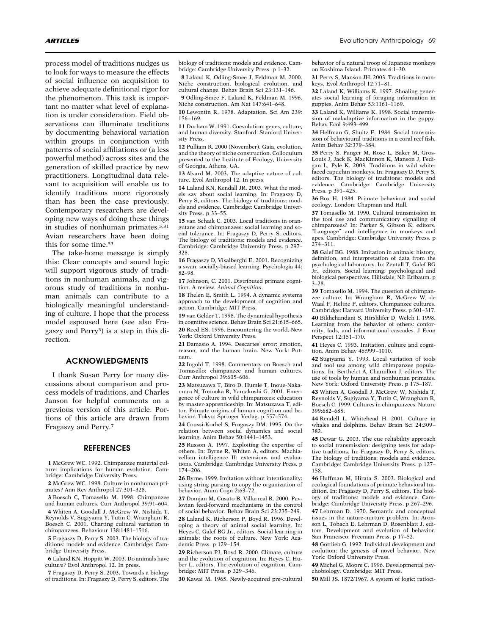process model of traditions nudges us to look for ways to measure the effects of social influence on acquisition to achieve adequate definitional rigor for the phenomenon. This task is important no matter what level of explanation is under consideration. Field observations can illuminate traditions by documenting behavioral variation within groups in conjunction with patterns of social affiliations or (a less powerful method) across sites and the generation of skilled practice by new practitioners. Longitudinal data relevant to acquisition will enable us to identify traditions more rigorously than has been the case previously. Contemporary researchers are developing new ways of doing these things in studies of nonhuman primates.5,31 Avian researchers have been doing this for some time.53

The take-home message is simply this: Clear concepts and sound logic will support vigorous study of traditions in nonhuman animals, and vigorous study of traditions in nonhuman animals can contribute to a biologically meaningful understanding of culture. I hope that the process model espoused here (see also Fragaszy and Perry5) is a step in this direction.

#### **ACKNOWLEDGMENTS**

I thank Susan Perry for many discussions about comparison and process models of traditions, and Charles Janson for helpful comments on a previous version of this article. Portions of this article are drawn from Fragaszy and Perry.7

#### **REFERENCES**

**1** McGrew WC. 1992. Chimpanzee material culture: implications for human evolution. Cambridge: Cambridge University Press.

**2** McGrew WC. 1998. Culture in nonhuman primates? Ann Rev Anthropol 27:301–328.

**3** Boesch C, Tomasello M. 1998. Chimpanzee and human cultures. Curr Anthropol 39:91–604. **4** Whiten A, Goodall J, McGrew W, Nishida T, Reynolds V, Sugiyama Y, Tutin C, Wrangham R, Boesch C. 2001. Charting cultural variation in chimpanzees. Behaviour 138:1481–1516.

**5** Fragaszy D, Perry S. 2003. The biology of traditions: models and evidence. Cambridge: Cambridge University Press.

**6** Laland KN, Hoppitt W. 2003. Do animals have culture? Evol Anthropol 12. In press.

**7** Fragaszy D, Perry S. 2003. Towards a biology of traditions. In: Fragaszy D, Perry S, editors. The biology of traditions: models and evidence. Cambridge: Cambridge University Press. p 1–32.

**8** Laland K, Odling-Smee J, Feldman M. 2000. Niche construction, biological evolution, and cultural change. Behav Brain Sci 23:131–146.

**9** Odling-Smee F, Laland K, Feldman M. 1996. Niche construction. Am Nat 147:641–648.

**10** Lewontin R. 1978. Adaptation. Sci Am 239: 156–169.

**11** Durham W. 1991. Coevolution: genes, culture, and human diversity. Stanford: Stanford University Press.

**12** Pulliam R. 2000 (November). Gaia, evolution, and the theory of niche construction. Colloquium presented to the Institute of Ecology, University of Georgia, Athens, GA.

**13** Alvard M. 2003. The adaptive nature of culture. Evol Anthropol 12. In press.

**14** Laland KN, Kendall JR. 2003. What the models say about social learning. In: Fragaszy D, Perry S, editors. The biology of traditions: models and evidence. Cambridge: Cambridge University Press. p 33–55.

**15** van Schaik C. 2003. Local traditions in orangutans and chimpanzees: social learning and social tolerance. In: Fragaszy D, Perry S, editors. The biology of traditions: models and evidence. Cambridge: Cambridge University Press. p 297– 328.

**16** Fragaszy D, Visalberghi E. 2001. Recognizing a swan: socially-biased learning. Psychologia 44: 82–98.

**17** Johnson, C. 2001. Distributed primate cognition. A review. *Animal Cognition.*

**18** Thelen E, Smith L. 1994. A dynamic systems approach to the development of cognition and action. Cambridge: MIT Press.

**19** van Gelder T. 1998. The dynamical hypothesis in cognitive science. Behav Brain Sci 21:615–665. **20** Reed ES. 1996. Encountering the world. New York: Oxford University Press.

**21** Damasio A. 1994. Descartes' error: emotion, reason, and the human brain. New York: Putnam.

**22** Ingold T. 1998. Commentary on Boesch and Tomasello: chimpanzee and human cultures. Curr Anthropol 39:605–606.

**23** Matsuzawa T, Biro D, Humle T, Inoue-Nakamura N, Tonooka R, Yamakoshi G. 2001. Emergence of culture in wild chimpanzees: education by master-apprenticeship. In: Matsuzawa T, editor. Primate origins of human cognition and behavior. Tokyo: Springer Verlag. p 557–574.

**24** Coussi-Korbel S, Fragaszy DM. 1995. On the relation between social dynamics and social learning. Anim Behav 50:1441–1453.

**25** Russon A. 1997. Exploiting the expertise of others. In: Byrne R, Whiten A, editors. Machiavellian intelligence II: extensions and evaluations. Cambridge: Cambridge University Press. p 174–206.

**26** Byrne. 1999. Imitation without intentionality: using string parsing to copy the organization of behavior. Anim Cogn 2:63–72.

**27** Domjan M, Cusato B, Villarreal R. 2000. Pavlovian feed-forward mechanisms in the control of social behavior. Behav Brain Sci 23:235–249. **28** Laland K, Richerson P, Boyd R. 1996. Developing a theory of animal social learning. In: Heyes C, Galef BG Jr., editors. Social learning in animals: the roots of culture. New York: Academic Press. p 129–154.

**29** Richerson PJ, Boyd R. 2000. Climate, culture and the evolution of cognition. In: Heyes C, Huber L, editors. The evolution of cognition. Cambridge: MIT Press. p 329–346.

**30** Kawai M. 1965. Newly-acquired pre-cultural

behavior of a natural troop of Japanese monkeys on Koshima Island. Primates 6:1–30.

**31** Perry S, Manson JH. 2003. Traditions in monkeys. Evol Anthropol 12:71–81.

**32** Laland K, Williams K. 1997. Shoaling generates social learning of foraging information in guppies. Anim Behav 53:1161–1169.

**33** Laland K, Williams K. 1998. Social transmission of maladaptive information in the guppy. Behav Ecol 9:493–499.

**34** Helfman G, Shultz E. 1984. Social transmission of behavioural traditions in a coral reef fish. Anim Behav 32:379–384.

**35** Perry S, Panger M, Rose L, Baker M, Gros-Louis J, Jack K, MacKinnon K, Manson J, Fedigan L, Pyle K. 2003. Traditions in wild whitefaced capuchin monkeys. In: Fragaszy D, Perry S, editors. The biology of traditions: models and evidence. Cambridge: Cambridge University Press. p 391–425.

**36** Box H. 1984. Primate behaviour and social ecology. London: Chapman and Hall.

**37** Tomasello M. 1990. Cultural transmission in the tool use and communicatory signalling of chimpanzees? In: Parker S, Gibson K, editors. "Language" and intelligence in monkeys and apes. Cambridge: Cambridge University Press. p 274–311.

**38** Galef BG. 1988. Imitation in animals: history, definition, and interpretation of data from the psychological laboratory. In: Zentall T, Galef BG Jr., editors. Social learning: psychological and biological perspectives. Hillsdale, NJ: Erlbaum. p 3–28.

**39** Tomasello M. 1994. The question of chimpanzee culture. In: Wrangham R, McGrew W, de Waal F, Heltne P, editors. Chimpanzee cultures. Cambridge: Harvard University Press. p 301–317. **40** Bikhchandani S, Hirshlifer D, Welch I. 1998. Learning from the behavior of others: conformity, fads, and informational cascades. J Econ Perspect 12:151–170.

**41** Heyes C. 1993. Imitation, culture and cognition. Anim Behav 46:999–1010.

**42** Sugiyama Y. 1993. Local variation of tools and tool use among wild chimpanzee populations. In: Berthelet A, Charaillon J, editors. The use of tools by human and nonhuman primates. New York: Oxford University Press. p 175–187.

**43** Whiten A, Goodall J, McGrew W, Nishida T, Reynolds V, Sugiyama Y, Tutin C, Wrangham R, Boesch C. 1999. Cultures in chimpanzees. Nature 399:682–685.

**44** Rendell L, Whitehead H. 2001. Culture in whales and dolphins. Behav Brain Sci 24:309– 382.

**45** Dewar G. 2003. The cue reliability approach to social transmission: designing tests for adaptive traditions. In: Fragaszy D, Perry S, editors. The biology of traditions: models and evidence. Cambridge: Cambridge University Press. p 127– 158.

**46** Huffman M, Hirata S. 2003. Biological and ecological foundations of primate behavioral tradition. In: Fragaszy D, Perry S, editors. The biology of traditions: models and evidence. Cambridge: Cambridge University Press. p 267–296.

**47** Lehrman D. 1970. Semantic and conceptual issues in the nature-nurture problem. In: Aronson L, Tobach E, Lehrman D, Rosenblatt J, editors. Development and evolution of behavior. San Francisco: Freeman Press. p 17–52.

**48** Gottlieb G. 1992. Individual development and evolution: the genesis of novel behavior. New York: Oxford University Press.

**49** Michel G, Moore C. 1996. Developmental psychobiology. Cambridge: MIT Press.

**50** Mill JS. 1872/1967. A system of logic: ratioci-